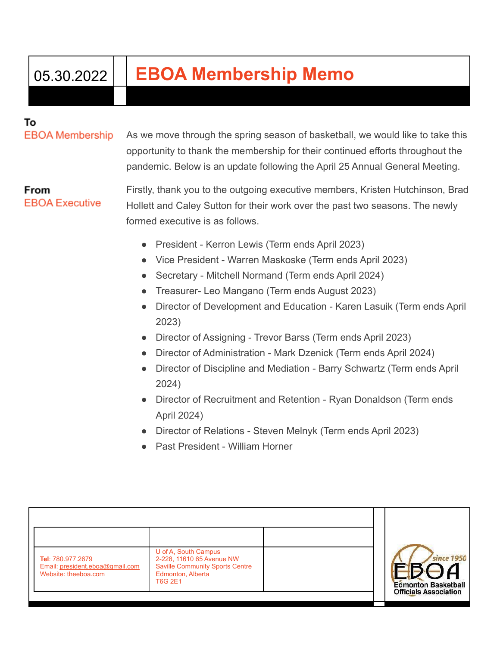## 05.30.2022 **EBOA Membership Memo**

## То

**EBOA Membership** 

As we move through the spring season of basketball, we would like to take this opportunity to thank the membership for their continued efforts throughout the pandemic. Below is an update following the April 25 Annual General Meeting.

From **EBOA Executive** 

Firstly, thank you to the outgoing executive members, Kristen Hutchinson, Brad Hollett and Caley Sutton for their work over the past two seasons. The newly formed executive is as follows.

- President Kerron Lewis (Term ends April 2023)
- Vice President Warren Maskoske (Term ends April 2023)
- Secretary Mitchell Normand (Term ends April 2024)
- Treasurer- Leo Mangano (Term ends August 2023)
- Director of Development and Education Karen Lasuik (Term ends April 2023)
- Director of Assigning Trevor Barss (Term ends April 2023)
- Director of Administration Mark Dzenick (Term ends April 2024)
- Director of Discipline and Mediation Barry Schwartz (Term ends April 2024)
- Director of Recruitment and Retention Ryan Donaldson (Term ends April 2024)
- Director of Relations Steven Melnyk (Term ends April 2023)
- Past President William Horner

| U of A, South Campus<br>2-228, 11610 65 Avenue NW<br><b>Saville Community Sports Centre</b><br>Edmonton, Alberta<br>T6G 2E1 | since 1950<br><b>Edmonton Basketball</b><br><b>Officials Association</b> |
|-----------------------------------------------------------------------------------------------------------------------------|--------------------------------------------------------------------------|
|                                                                                                                             |                                                                          |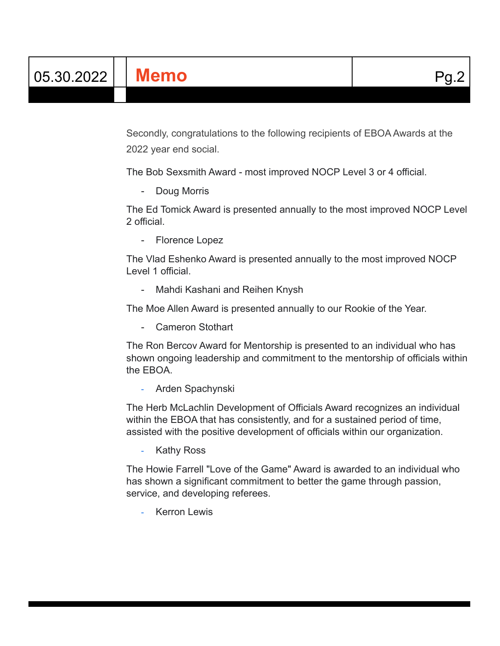Secondly, congratulations to the following recipients of EBOA Awards at the 2022 year end social.

The Bob Sexsmith Award - most improved NOCP Level 3 or 4 official.

- Doug Morris

The Ed Tomick Award is presented annually to the most improved NOCP Level 2 official.

- Florence Lopez

The Vlad Eshenko Award is presented annually to the most improved NOCP Level 1 official.

- Mahdi Kashani and Reihen Knysh

The Moe Allen Award is presented annually to our Rookie of the Year.

- Cameron Stothart

The Ron Bercov Award for Mentorship is presented to an individual who has shown ongoing leadership and commitment to the mentorship of officials within the EBOA.

- Arden Spachynski

The Herb McLachlin Development of Officials Award recognizes an individual within the EBOA that has consistently, and for a sustained period of time, assisted with the positive development of officials within our organization.

**Kathy Ross** 

The Howie Farrell "Love of the Game" Award is awarded to an individual who has shown a significant commitment to better the game through passion, service, and developing referees.

**Kerron Lewis**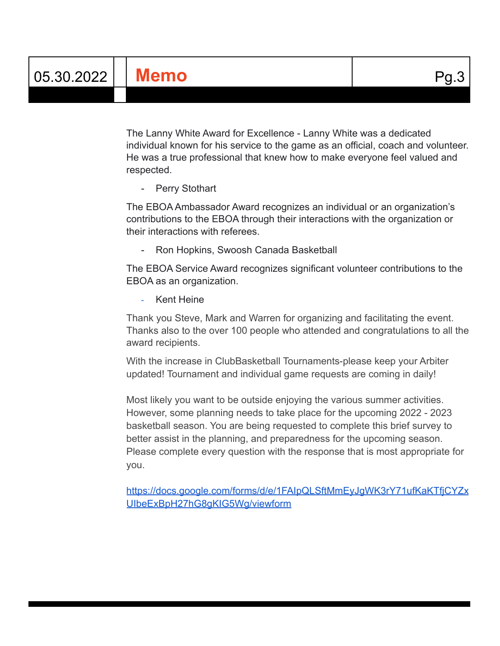The Lanny White Award for Excellence - Lanny White was a dedicated individual known for his service to the game as an official, coach and volunteer. He was a true professional that knew how to make everyone feel valued and respected.

- Perry Stothart

The EBOA Ambassador Award recognizes an individual or an organization's contributions to the EBOA through their interactions with the organization or their interactions with referees.

- Ron Hopkins, Swoosh Canada Basketball

The EBOA Service Award recognizes significant volunteer contributions to the EBOA as an organization.

Kent Heine

Thank you Steve, Mark and Warren for organizing and facilitating the event. Thanks also to the over 100 people who attended and congratulations to all the award recipients.

With the increase in ClubBasketball Tournaments-please keep your Arbiter updated! Tournament and individual game requests are coming in daily!

Most likely you want to be outside enjoying the various summer activities. However, some planning needs to take place for the upcoming 2022 - 2023 basketball season. You are being requested to complete this brief survey to better assist in the planning, and preparedness for the upcoming season. Please complete every question with the response that is most appropriate for you.

[https://docs.google.com/forms/d/e/1FAIpQLSftMmEyJgWK3rY71ufKaKTfjCYZx](https://docs.google.com/forms/d/e/1FAIpQLSftMmEyJgWK3rY71ufKaKTfjCYZxUIbeExBpH27hG8gKIG5Wg/viewform) [UIbeExBpH27hG8gKIG5Wg/viewform](https://docs.google.com/forms/d/e/1FAIpQLSftMmEyJgWK3rY71ufKaKTfjCYZxUIbeExBpH27hG8gKIG5Wg/viewform)